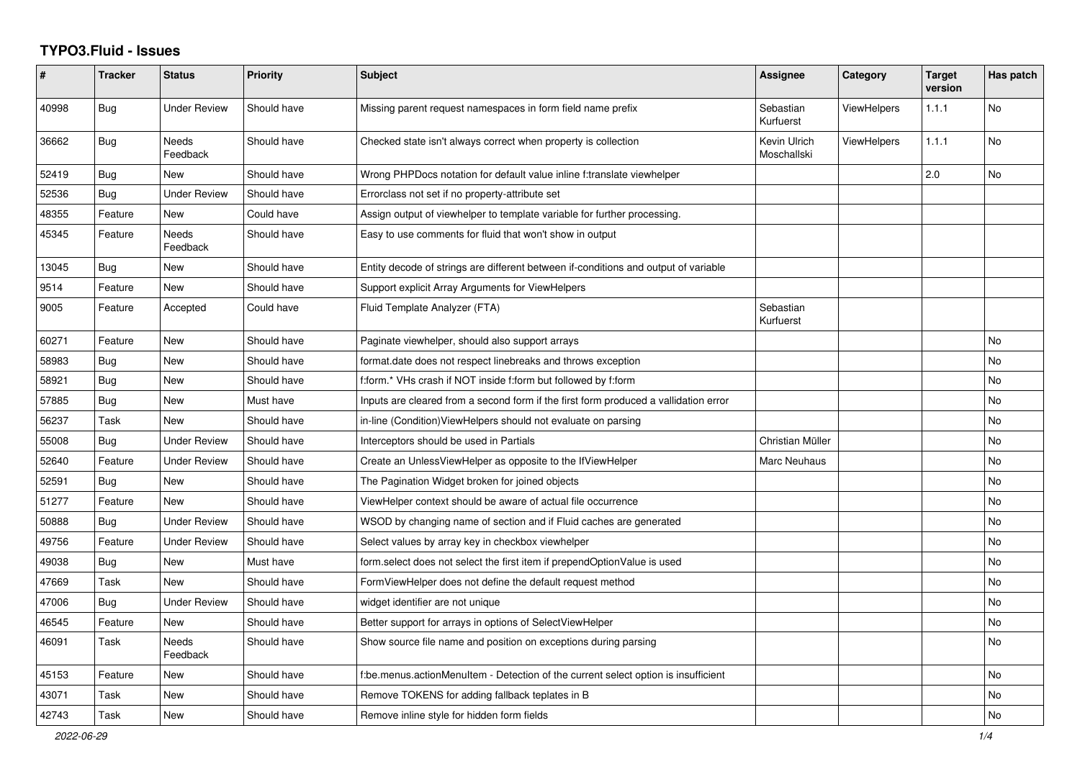## **TYPO3.Fluid - Issues**

| $\#$  | <b>Tracker</b> | <b>Status</b>            | <b>Priority</b> | <b>Subject</b>                                                                       | Assignee                    | Category           | <b>Target</b><br>version | Has patch |
|-------|----------------|--------------------------|-----------------|--------------------------------------------------------------------------------------|-----------------------------|--------------------|--------------------------|-----------|
| 40998 | <b>Bug</b>     | Under Review             | Should have     | Missing parent request namespaces in form field name prefix                          | Sebastian<br>Kurfuerst      | <b>ViewHelpers</b> | 1.1.1                    | <b>No</b> |
| 36662 | <b>Bug</b>     | <b>Needs</b><br>Feedback | Should have     | Checked state isn't always correct when property is collection                       | Kevin Ulrich<br>Moschallski | ViewHelpers        | 1.1.1                    | <b>No</b> |
| 52419 | Bug            | New                      | Should have     | Wrong PHPDocs notation for default value inline f:translate viewhelper               |                             |                    | 2.0                      | <b>No</b> |
| 52536 | <b>Bug</b>     | <b>Under Review</b>      | Should have     | Errorclass not set if no property-attribute set                                      |                             |                    |                          |           |
| 48355 | Feature        | New                      | Could have      | Assign output of viewhelper to template variable for further processing.             |                             |                    |                          |           |
| 45345 | Feature        | Needs<br>Feedback        | Should have     | Easy to use comments for fluid that won't show in output                             |                             |                    |                          |           |
| 13045 | Bug            | New                      | Should have     | Entity decode of strings are different between if-conditions and output of variable  |                             |                    |                          |           |
| 9514  | Feature        | New                      | Should have     | Support explicit Array Arguments for ViewHelpers                                     |                             |                    |                          |           |
| 9005  | Feature        | Accepted                 | Could have      | Fluid Template Analyzer (FTA)                                                        | Sebastian<br>Kurfuerst      |                    |                          |           |
| 60271 | Feature        | New                      | Should have     | Paginate viewhelper, should also support arrays                                      |                             |                    |                          | <b>No</b> |
| 58983 | Bug            | <b>New</b>               | Should have     | format.date does not respect linebreaks and throws exception                         |                             |                    |                          | <b>No</b> |
| 58921 | Bug            | New                      | Should have     | f:form.* VHs crash if NOT inside f:form but followed by f:form                       |                             |                    |                          | No        |
| 57885 | <b>Bug</b>     | New                      | Must have       | Inputs are cleared from a second form if the first form produced a vallidation error |                             |                    |                          | No        |
| 56237 | Task           | New                      | Should have     | in-line (Condition) View Helpers should not evaluate on parsing                      |                             |                    |                          | No        |
| 55008 | <b>Bug</b>     | <b>Under Review</b>      | Should have     | Interceptors should be used in Partials                                              | Christian Müller            |                    |                          | No        |
| 52640 | Feature        | <b>Under Review</b>      | Should have     | Create an UnlessViewHelper as opposite to the IfViewHelper                           | Marc Neuhaus                |                    |                          | No        |
| 52591 | Bug            | New                      | Should have     | The Pagination Widget broken for joined objects                                      |                             |                    |                          | <b>No</b> |
| 51277 | Feature        | <b>New</b>               | Should have     | ViewHelper context should be aware of actual file occurrence                         |                             |                    |                          | No        |
| 50888 | Bug            | <b>Under Review</b>      | Should have     | WSOD by changing name of section and if Fluid caches are generated                   |                             |                    |                          | <b>No</b> |
| 49756 | Feature        | Under Review             | Should have     | Select values by array key in checkbox viewhelper                                    |                             |                    |                          | No        |
| 49038 | Bug            | New                      | Must have       | form.select does not select the first item if prependOptionValue is used             |                             |                    |                          | No        |
| 47669 | Task           | New                      | Should have     | FormViewHelper does not define the default request method                            |                             |                    |                          | No        |
| 47006 | Bug            | <b>Under Review</b>      | Should have     | widget identifier are not unique                                                     |                             |                    |                          | No        |
| 46545 | Feature        | New                      | Should have     | Better support for arrays in options of SelectViewHelper                             |                             |                    |                          | No        |
| 46091 | Task           | Needs<br>Feedback        | Should have     | Show source file name and position on exceptions during parsing                      |                             |                    |                          | No        |
| 45153 | Feature        | New                      | Should have     | f:be.menus.actionMenuItem - Detection of the current select option is insufficient   |                             |                    |                          | <b>No</b> |
| 43071 | Task           | New                      | Should have     | Remove TOKENS for adding fallback teplates in B                                      |                             |                    |                          | No        |
| 42743 | Task           | New                      | Should have     | Remove inline style for hidden form fields                                           |                             |                    |                          | No        |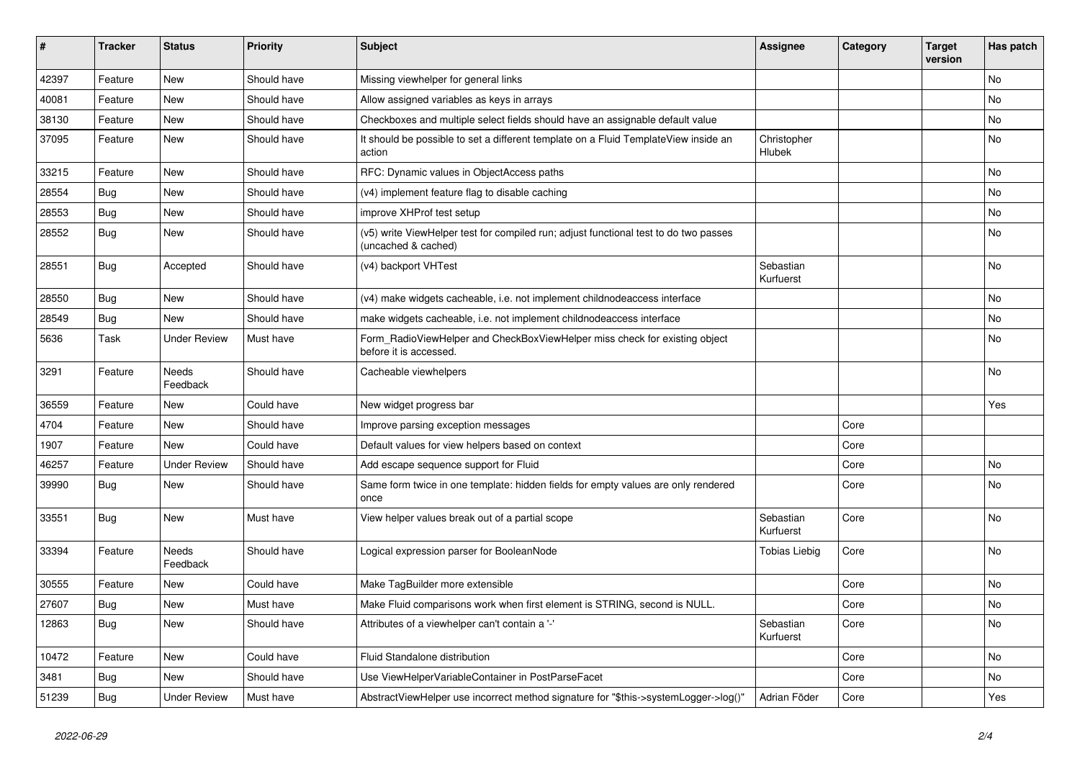| $\vert$ # | <b>Tracker</b> | <b>Status</b>       | <b>Priority</b> | <b>Subject</b>                                                                                              | Assignee               | Category | <b>Target</b><br>version | Has patch |
|-----------|----------------|---------------------|-----------------|-------------------------------------------------------------------------------------------------------------|------------------------|----------|--------------------------|-----------|
| 42397     | Feature        | <b>New</b>          | Should have     | Missing viewhelper for general links                                                                        |                        |          |                          | <b>No</b> |
| 40081     | Feature        | <b>New</b>          | Should have     | Allow assigned variables as keys in arrays                                                                  |                        |          |                          | <b>No</b> |
| 38130     | Feature        | New                 | Should have     | Checkboxes and multiple select fields should have an assignable default value                               |                        |          |                          | No        |
| 37095     | Feature        | New                 | Should have     | It should be possible to set a different template on a Fluid TemplateView inside an<br>action               | Christopher<br>Hlubek  |          |                          | No        |
| 33215     | Feature        | New                 | Should have     | RFC: Dynamic values in ObjectAccess paths                                                                   |                        |          |                          | No        |
| 28554     | <b>Bug</b>     | <b>New</b>          | Should have     | (v4) implement feature flag to disable caching                                                              |                        |          |                          | No        |
| 28553     | <b>Bug</b>     | New                 | Should have     | improve XHProf test setup                                                                                   |                        |          |                          | No        |
| 28552     | Bug            | New                 | Should have     | (v5) write ViewHelper test for compiled run; adjust functional test to do two passes<br>(uncached & cached) |                        |          |                          | No        |
| 28551     | Bug            | Accepted            | Should have     | (v4) backport VHTest                                                                                        | Sebastian<br>Kurfuerst |          |                          | No        |
| 28550     | Bug            | New                 | Should have     | (v4) make widgets cacheable, i.e. not implement childnodeaccess interface                                   |                        |          |                          | No        |
| 28549     | Bug            | New                 | Should have     | make widgets cacheable, i.e. not implement childnodeaccess interface                                        |                        |          |                          | <b>No</b> |
| 5636      | Task           | <b>Under Review</b> | Must have       | Form RadioViewHelper and CheckBoxViewHelper miss check for existing object<br>before it is accessed.        |                        |          |                          | No        |
| 3291      | Feature        | Needs<br>Feedback   | Should have     | Cacheable viewhelpers                                                                                       |                        |          |                          | No        |
| 36559     | Feature        | New                 | Could have      | New widget progress bar                                                                                     |                        |          |                          | Yes       |
| 4704      | Feature        | New                 | Should have     | Improve parsing exception messages                                                                          |                        | Core     |                          |           |
| 1907      | Feature        | <b>New</b>          | Could have      | Default values for view helpers based on context                                                            |                        | Core     |                          |           |
| 46257     | Feature        | <b>Under Review</b> | Should have     | Add escape sequence support for Fluid                                                                       |                        | Core     |                          | <b>No</b> |
| 39990     | Bug            | New                 | Should have     | Same form twice in one template: hidden fields for empty values are only rendered<br>once                   |                        | Core     |                          | <b>No</b> |
| 33551     | <b>Bug</b>     | <b>New</b>          | Must have       | View helper values break out of a partial scope                                                             | Sebastian<br>Kurfuerst | Core     |                          | No        |
| 33394     | Feature        | Needs<br>Feedback   | Should have     | Logical expression parser for BooleanNode                                                                   | Tobias Liebig          | Core     |                          | No        |
| 30555     | Feature        | New                 | Could have      | Make TagBuilder more extensible                                                                             |                        | Core     |                          | <b>No</b> |
| 27607     | Bug            | New                 | Must have       | Make Fluid comparisons work when first element is STRING, second is NULL.                                   |                        | Core     |                          | <b>No</b> |
| 12863     | Bug            | New                 | Should have     | Attributes of a viewhelper can't contain a '-'                                                              | Sebastian<br>Kurfuerst | Core     |                          | <b>No</b> |
| 10472     | Feature        | <b>New</b>          | Could have      | Fluid Standalone distribution                                                                               |                        | Core     |                          | <b>No</b> |
| 3481      | Bug            | <b>New</b>          | Should have     | Use ViewHelperVariableContainer in PostParseFacet                                                           |                        | Core     |                          | <b>No</b> |
| 51239     | <b>Bug</b>     | <b>Under Review</b> | Must have       | AbstractViewHelper use incorrect method signature for "\$this->systemLogger->log()"                         | Adrian Föder           | Core     |                          | Yes       |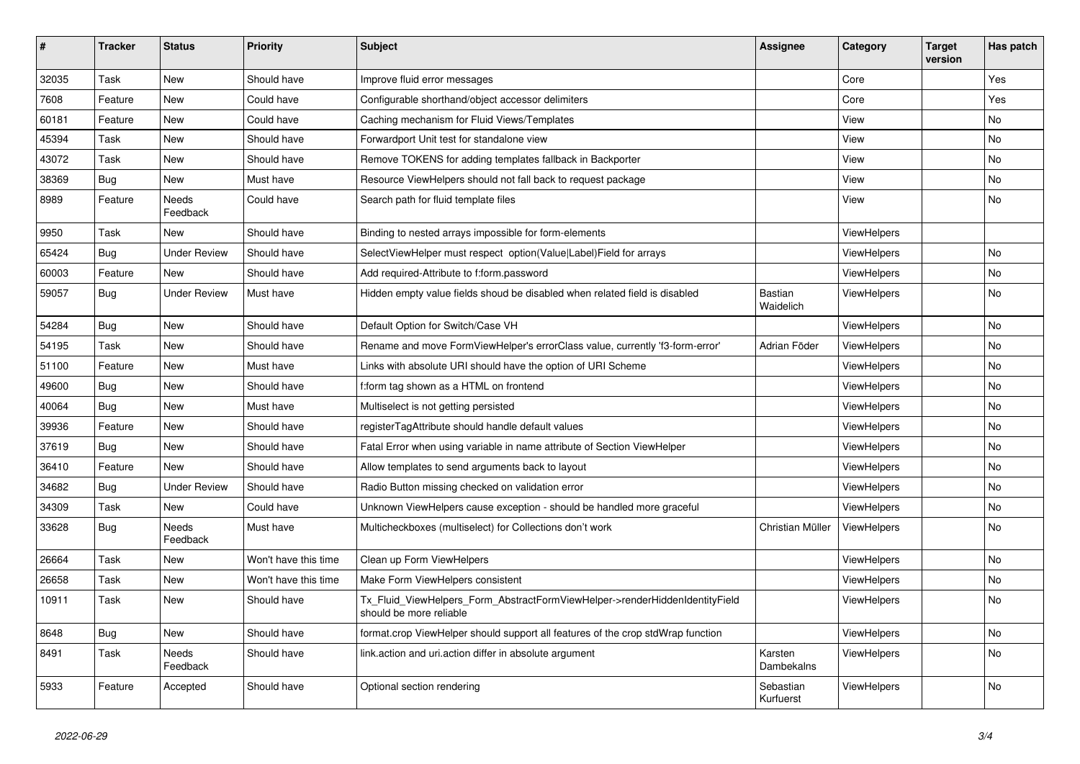| #     | <b>Tracker</b> | <b>Status</b>       | <b>Priority</b>      | <b>Subject</b>                                                                                         | <b>Assignee</b>             | Category           | <b>Target</b><br>version | Has patch  |
|-------|----------------|---------------------|----------------------|--------------------------------------------------------------------------------------------------------|-----------------------------|--------------------|--------------------------|------------|
| 32035 | Task           | <b>New</b>          | Should have          | Improve fluid error messages                                                                           |                             | Core               |                          | Yes        |
| 7608  | Feature        | New                 | Could have           | Configurable shorthand/object accessor delimiters                                                      |                             | Core               |                          | <b>Yes</b> |
| 60181 | Feature        | <b>New</b>          | Could have           | Caching mechanism for Fluid Views/Templates                                                            |                             | View               |                          | No         |
| 45394 | Task           | <b>New</b>          | Should have          | Forwardport Unit test for standalone view                                                              |                             | View               |                          | <b>No</b>  |
| 43072 | Task           | <b>New</b>          | Should have          | Remove TOKENS for adding templates fallback in Backporter                                              |                             | View               |                          | <b>No</b>  |
| 38369 | Bug            | New                 | Must have            | Resource ViewHelpers should not fall back to request package                                           |                             | View               |                          | No         |
| 8989  | Feature        | Needs<br>Feedback   | Could have           | Search path for fluid template files                                                                   |                             | View               |                          | No         |
| 9950  | Task           | New                 | Should have          | Binding to nested arrays impossible for form-elements                                                  |                             | <b>ViewHelpers</b> |                          |            |
| 65424 | Bug            | Under Review        | Should have          | SelectViewHelper must respect option(Value Label)Field for arrays                                      |                             | <b>ViewHelpers</b> |                          | No         |
| 60003 | Feature        | <b>New</b>          | Should have          | Add required-Attribute to f:form.password                                                              |                             | ViewHelpers        |                          | No         |
| 59057 | <b>Bug</b>     | <b>Under Review</b> | Must have            | Hidden empty value fields shoud be disabled when related field is disabled                             | <b>Bastian</b><br>Waidelich | ViewHelpers        |                          | No         |
| 54284 | <b>Bug</b>     | <b>New</b>          | Should have          | Default Option for Switch/Case VH                                                                      |                             | ViewHelpers        |                          | <b>No</b>  |
| 54195 | Task           | New                 | Should have          | Rename and move FormViewHelper's errorClass value, currently 'f3-form-error'                           | Adrian Föder                | <b>ViewHelpers</b> |                          | No         |
| 51100 | Feature        | New                 | Must have            | Links with absolute URI should have the option of URI Scheme                                           |                             | <b>ViewHelpers</b> |                          | No         |
| 49600 | Bug            | New                 | Should have          | f:form tag shown as a HTML on frontend                                                                 |                             | <b>ViewHelpers</b> |                          | No         |
| 40064 | Bug            | New                 | Must have            | Multiselect is not getting persisted                                                                   |                             | ViewHelpers        |                          | No         |
| 39936 | Feature        | New                 | Should have          | registerTagAttribute should handle default values                                                      |                             | ViewHelpers        |                          | No         |
| 37619 | <b>Bug</b>     | <b>New</b>          | Should have          | Fatal Error when using variable in name attribute of Section ViewHelper                                |                             | <b>ViewHelpers</b> |                          | <b>No</b>  |
| 36410 | Feature        | New                 | Should have          | Allow templates to send arguments back to layout                                                       |                             | ViewHelpers        |                          | No         |
| 34682 | Bug            | Under Review        | Should have          | Radio Button missing checked on validation error                                                       |                             | <b>ViewHelpers</b> |                          | No         |
| 34309 | Task           | New                 | Could have           | Unknown ViewHelpers cause exception - should be handled more graceful                                  |                             | <b>ViewHelpers</b> |                          | No         |
| 33628 | Bug            | Needs<br>Feedback   | Must have            | Multicheckboxes (multiselect) for Collections don't work                                               | Christian Müller            | ViewHelpers        |                          | No         |
| 26664 | Task           | New                 | Won't have this time | Clean up Form ViewHelpers                                                                              |                             | ViewHelpers        |                          | <b>No</b>  |
| 26658 | Task           | <b>New</b>          | Won't have this time | Make Form ViewHelpers consistent                                                                       |                             | ViewHelpers        |                          | <b>No</b>  |
| 10911 | Task           | New                 | Should have          | Tx Fluid ViewHelpers Form AbstractFormViewHelper->renderHiddenIdentityField<br>should be more reliable |                             | <b>ViewHelpers</b> |                          | No         |
| 8648  | <b>Bug</b>     | New                 | Should have          | format.crop ViewHelper should support all features of the crop stdWrap function                        |                             | ViewHelpers        |                          | No         |
| 8491  | Task           | Needs<br>Feedback   | Should have          | link action and uri action differ in absolute argument                                                 | Karsten<br>Dambekalns       | <b>ViewHelpers</b> |                          | No         |
| 5933  | Feature        | Accepted            | Should have          | Optional section rendering                                                                             | Sebastian<br>Kurfuerst      | <b>ViewHelpers</b> |                          | No         |